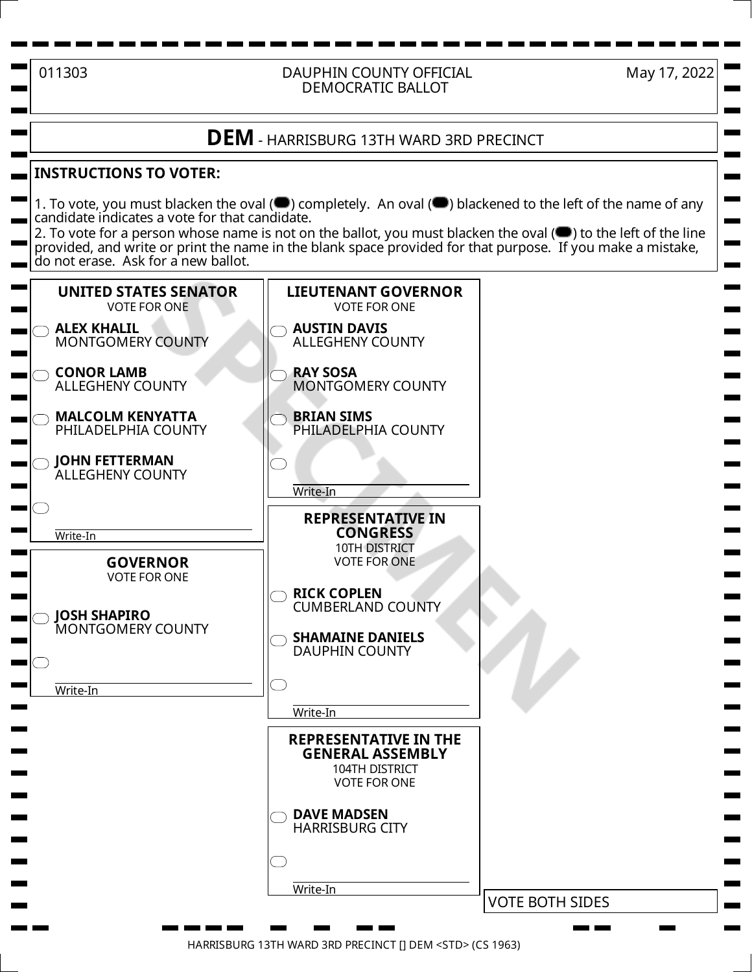## 011303 DAUPHIN COUNTY OFFICIAL DEMOCRATIC BALLOT

May 17, 2022

## **DEM** - HARRISBURG 13TH WARD 3RD PRECINCT **INSTRUCTIONS TO VOTER:** 1. To vote, you must blacken the oval ( $\blacksquare$ ) completely. An oval ( $\blacksquare$ ) blackened to the left of the name of any candidate indicates a vote for that candidate. 2. To vote for a person whose name is not on the ballot, you must blacken the oval  $(\bullet)$  to the left of the line provided, and write or print the name in the blank space provided for that purpose. If you make a mistake, do not erase. Ask for a new ballot. VOTE BOTH SIDES **UNITED STATES SENATOR** VOTE FOR ONE **ALEX KHALIL** MONTGOMERY COUNTY **CONOR LAMB** ALLEGHENY COUNTY **MALCOLM KENYATTA** PHILADELPHIA COUNTY **JOHN FETTERMAN** ALLEGHENY COUNTY Write-In **GOVERNOR** VOTE FOR ONE **JOSH SHAPIRO** MONTGOMERY COUNTY Write-In **LIEUTENANT GOVERNOR** VOTE FOR ONE **AUSTIN DAVIS** ALLEGHENY COUNTY **RAY SOSA** MONTGOMERY COUNTY **BRIAN SIMS** PHILADELPHIA COUNTY Write-In **REPRESENTATIVE IN CONGRESS** 10TH DISTRICT VOTE FOR ONE **RICK COPLEN** CUMBERLAND COUNTY **SHAMAINE DANIELS** DAUPHIN COUNTY Write-In **REPRESENTATIVE IN THE GENERAL ASSEMBLY** 104TH DISTRICT VOTE FOR ONE **DAVE MADSEN** HARRISBURG CITY Write-In